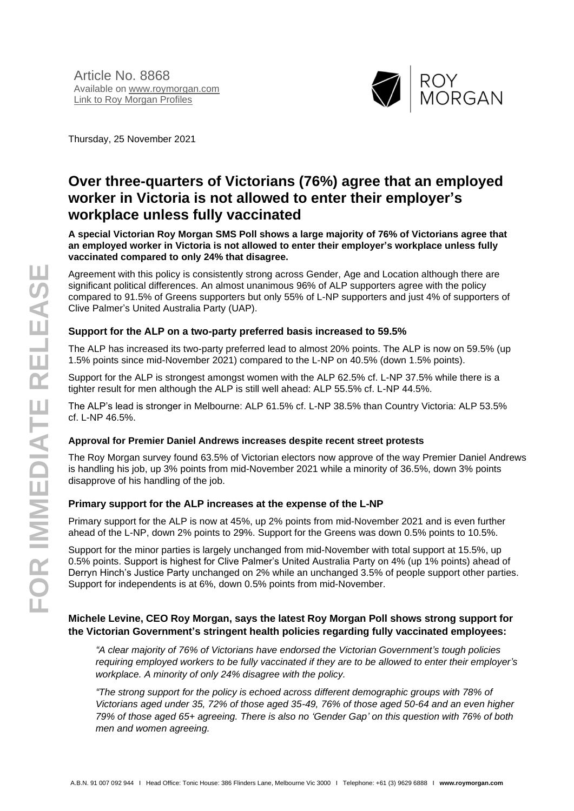

Thursday, 25 November 2021

# **Over three-quarters of Victorians (76%) agree that an employed worker in Victoria is not allowed to enter their employer's workplace unless fully vaccinated**

**A special Victorian Roy Morgan SMS Poll shows a large majority of 76% of Victorians agree that an employed worker in Victoria is not allowed to enter their employer's workplace unless fully vaccinated compared to only 24% that disagree.**

Agreement with this policy is consistently strong across Gender, Age and Location although there are significant political differences. An almost unanimous 96% of ALP supporters agree with the policy compared to 91.5% of Greens supporters but only 55% of L-NP supporters and just 4% of supporters of Clive Palmer's United Australia Party (UAP).

#### **Support for the ALP on a two-party preferred basis increased to 59.5%**

The ALP has increased its two-party preferred lead to almost 20% points. The ALP is now on 59.5% (up 1.5% points since mid-November 2021) compared to the L-NP on 40.5% (down 1.5% points).

Support for the ALP is strongest amongst women with the ALP 62.5% cf. L-NP 37.5% while there is a tighter result for men although the ALP is still well ahead: ALP 55.5% cf. L-NP 44.5%.

The ALP's lead is stronger in Melbourne: ALP 61.5% cf. L-NP 38.5% than Country Victoria: ALP 53.5% cf. L-NP 46.5%.

#### **Approval for Premier Daniel Andrews increases despite recent street protests**

The Roy Morgan survey found 63.5% of Victorian electors now approve of the way Premier Daniel Andrews is handling his job, up 3% points from mid-November 2021 while a minority of 36.5%, down 3% points disapprove of his handling of the job.

#### **Primary support for the ALP increases at the expense of the L-NP**

Primary support for the ALP is now at 45%, up 2% points from mid-November 2021 and is even further ahead of the L-NP, down 2% points to 29%. Support for the Greens was down 0.5% points to 10.5%.

Support for the minor parties is largely unchanged from mid-November with total support at 15.5%, up 0.5% points. Support is highest for Clive Palmer's United Australia Party on 4% (up 1% points) ahead of Derryn Hinch's Justice Party unchanged on 2% while an unchanged 3.5% of people support other parties. Support for independents is at 6%, down 0.5% points from mid-November.

#### **Michele Levine, CEO Roy Morgan, says the latest Roy Morgan Poll shows strong support for the Victorian Government's stringent health policies regarding fully vaccinated employees:**

*"A clear majority of 76% of Victorians have endorsed the Victorian Government's tough policies requiring employed workers to be fully vaccinated if they are to be allowed to enter their employer's workplace. A minority of only 24% disagree with the policy.*

*"The strong support for the policy is echoed across different demographic groups with 78% of Victorians aged under 35, 72% of those aged 35-49, 76% of those aged 50-64 and an even higher 79% of those aged 65+ agreeing. There is also no 'Gender Gap' on this question with 76% of both men and women agreeing.*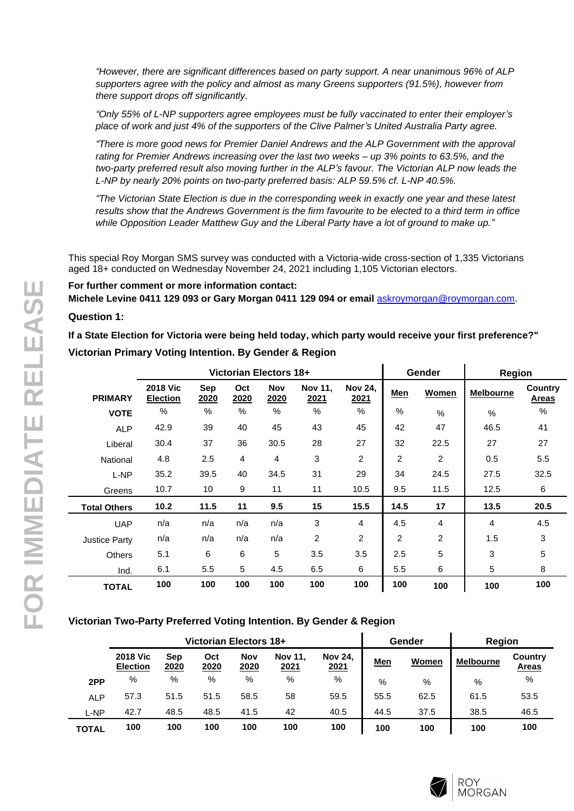*"However, there are significant differences based on party support. A near unanimous 96% of ALP supporters agree with the policy and almost as many Greens supporters (91.5%), however from there support drops off significantly.*

*"Only 55% of L-NP supporters agree employees must be fully vaccinated to enter their employer's place of work and just 4% of the supporters of the Clive Palmer's United Australia Party agree.*

*"There is more good news for Premier Daniel Andrews and the ALP Government with the approval rating for Premier Andrews increasing over the last two weeks – up 3% points to 63.5%, and the two-party preferred result also moving further in the ALP's favour. The Victorian ALP now leads the L-NP by nearly 20% points on two-party preferred basis: ALP 59.5% cf. L-NP 40.5%.*

*"The Victorian State Election is due in the corresponding week in exactly one year and these latest results show that the Andrews Government is the firm favourite to be elected to a third term in office while Opposition Leader Matthew Guy and the Liberal Party have a lot of ground to make up."*

This special Roy Morgan SMS survey was conducted with a Victoria-wide cross-section of 1,335 Victorians aged 18+ conducted on Wednesday November 24, 2021 including 1,105 Victorian electors.

**For further comment or more information contact:**

**Michele Levine 0411 129 093 or Gary Morgan 0411 129 094 or email** [askroymorgan@roymorgan.com](mailto:askroymorgan@roymorgan.com).

#### **Question 1:**

**If a State Election for Victoria were being held today, which party would receive your first preference?" Victorian Primary Voting Intention. By Gender & Region**

|                      |                                    |                    |                    | Victorian Electors 18+ |                               |                        |                | Gender         | Region           |                                |
|----------------------|------------------------------------|--------------------|--------------------|------------------------|-------------------------------|------------------------|----------------|----------------|------------------|--------------------------------|
| <b>PRIMARY</b>       | <b>2018 Vic</b><br><b>Election</b> | <b>Sep</b><br>2020 | Oct<br><u>2020</u> | <b>Nov</b><br>2020     | <b>Nov 11,</b><br><u>2021</u> | <b>Nov 24,</b><br>2021 | <b>Men</b>     | Women          | <b>Melbourne</b> | <b>Country</b><br><b>Areas</b> |
| <b>VOTE</b>          | %                                  | $\%$               | %                  | $\%$                   | $\frac{0}{0}$                 | $\%$                   | %              | %              | $\%$             | $\%$                           |
| <b>ALP</b>           | 42.9                               | 39                 | 40                 | 45                     | 43                            | 45                     | 42             | 47             | 46.5             | 41                             |
| Liberal              | 30.4                               | 37                 | 36                 | 30.5                   | 28                            | 27                     | 32             | 22.5           | 27               | 27                             |
| National             | 4.8                                | 2.5                | 4                  | 4                      | 3                             | $\overline{2}$         | 2              | 2              | 0.5              | 5.5                            |
| L-NP                 | 35.2                               | 39.5               | 40                 | 34.5                   | 31                            | 29                     | 34             | 24.5           | 27.5             | 32.5                           |
| Greens               | 10.7                               | 10                 | 9                  | 11                     | 11                            | 10.5                   | 9.5            | 11.5           | 12.5             | 6                              |
| <b>Total Others</b>  | 10.2                               | 11.5               | 11                 | 9.5                    | 15                            | 15.5                   | 14.5           | 17             | 13.5             | 20.5                           |
| <b>UAP</b>           | n/a                                | n/a                | n/a                | n/a                    | 3                             | 4                      | 4.5            | 4              | $\overline{4}$   | 4.5                            |
| <b>Justice Party</b> | n/a                                | n/a                | n/a                | n/a                    | 2                             | $\overline{2}$         | $\overline{2}$ | $\overline{2}$ | 1.5              | 3                              |
| <b>Others</b>        | 5.1                                | 6                  | 6                  | 5                      | 3.5                           | 3.5                    | 2.5            | 5              | 3                | 5                              |
| Ind.                 | 6.1                                | 5.5                | 5                  | 4.5                    | 6.5                           | 6                      | 5.5            | 6              | 5                | 8                              |
| <b>TOTAL</b>         | 100                                | 100                | 100                | 100                    | 100                           | 100                    | 100            | 100            | 100              | 100                            |

## **Victorian Two-Party Preferred Voting Intention. By Gender & Region**

|              |                                    |                    | Victorian Electors 18+ |                    |                        |                        |            | Gender | Region           |                         |
|--------------|------------------------------------|--------------------|------------------------|--------------------|------------------------|------------------------|------------|--------|------------------|-------------------------|
|              | <b>2018 Vic</b><br><b>Election</b> | Sep<br><u>2020</u> | Oct<br>2020            | <b>Nov</b><br>2020 | <b>Nov 11.</b><br>2021 | <b>Nov 24.</b><br>2021 | <u>Men</u> | Women  | <b>Melbourne</b> | Country<br><b>Areas</b> |
| 2PP          | %                                  | %                  | %                      | %                  | %                      | %                      | %          | %      | %                | %                       |
| <b>ALP</b>   | 57.3                               | 51.5               | 51.5                   | 58.5               | 58                     | 59.5                   | 55.5       | 62.5   | 61.5             | 53.5                    |
| L-NP         | 42.7                               | 48.5               | 48.5                   | 41.5               | 42                     | 40.5                   | 44.5       | 37.5   | 38.5             | 46.5                    |
| <b>TOTAL</b> | 100                                | 100                | 100                    | 100                | 100                    | 100                    | 100        | 100    | 100              | 100                     |

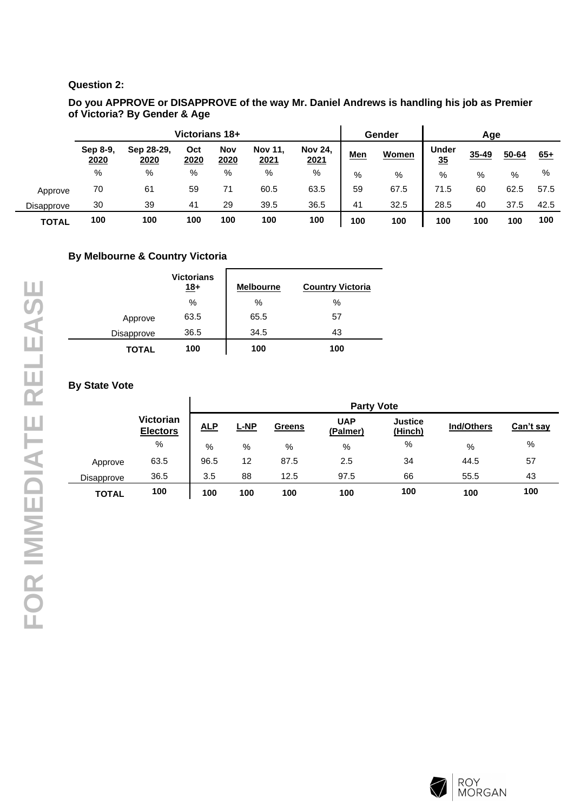#### **Question 2:**

#### **Do you APPROVE or DISAPPROVE of the way Mr. Daniel Andrews is handling his job as Premier of Victoria? By Gender & Age**

|                   |                  | Victorians 18+     |             | Gender             |                        | Age                    |            |       |                    |       |           |       |
|-------------------|------------------|--------------------|-------------|--------------------|------------------------|------------------------|------------|-------|--------------------|-------|-----------|-------|
|                   | Sep 8-9,<br>2020 | Sep 28-29.<br>2020 | Oct<br>2020 | <b>Nov</b><br>2020 | <b>Nov 11.</b><br>2021 | <b>Nov 24,</b><br>2021 | <u>Men</u> | Women | <b>Under</b><br>35 | 35-49 | $50 - 64$ | $65+$ |
|                   | %                | %                  | %           | %                  | %                      | %                      | %          | %     | $\%$               | %     | %         | %     |
| Approve           | 70               | 61                 | 59          | 71                 | 60.5                   | 63.5                   | 59         | 67.5  | 71.5               | 60    | 62.5      | 57.5  |
| <b>Disapprove</b> | 30               | 39                 | 41          | 29                 | 39.5                   | 36.5                   | 41         | 32.5  | 28.5               | 40    | 37.5      | 42.5  |
| <b>TOTAL</b>      | 100              | 100                | 100         | 100                | 100                    | 100                    | 100        | 100   | 100                | 100   | 100       | 100   |

## **By Melbourne & Country Victoria**

|              | <b>Victorians</b><br>$18+$ | <b>Melbourne</b> | <b>Country Victoria</b> |
|--------------|----------------------------|------------------|-------------------------|
|              | %                          | %                | %                       |
| Approve      | 63.5                       | 65.5             | 57                      |
| Disapprove   | 36.5                       | 34.5             | 43                      |
| <b>TOTAL</b> | 100                        | 100              | 100                     |

## **By State Vote**

|              |                                     | <b>Party Vote</b> |             |               |                        |                           |            |           |  |  |  |
|--------------|-------------------------------------|-------------------|-------------|---------------|------------------------|---------------------------|------------|-----------|--|--|--|
|              | <b>Victorian</b><br><b>Electors</b> | <b>ALP</b>        | <b>L-NP</b> | <b>Greens</b> | <b>UAP</b><br>(Palmer) | <b>Justice</b><br>(Hinch) | Ind/Others | Can't say |  |  |  |
|              | %                                   | %                 | %           | %             | %                      | %                         | %          | %         |  |  |  |
| Approve      | 63.5                                | 96.5              | 12          | 87.5          | 2.5                    | 34                        | 44.5       | 57        |  |  |  |
| Disapprove   | 36.5                                | 3.5               | 88          | 12.5          | 97.5                   | 66                        | 55.5       | 43        |  |  |  |
| <b>TOTAL</b> | 100                                 | 100               | 100         | 100           | 100                    | 100                       | 100        | 100       |  |  |  |